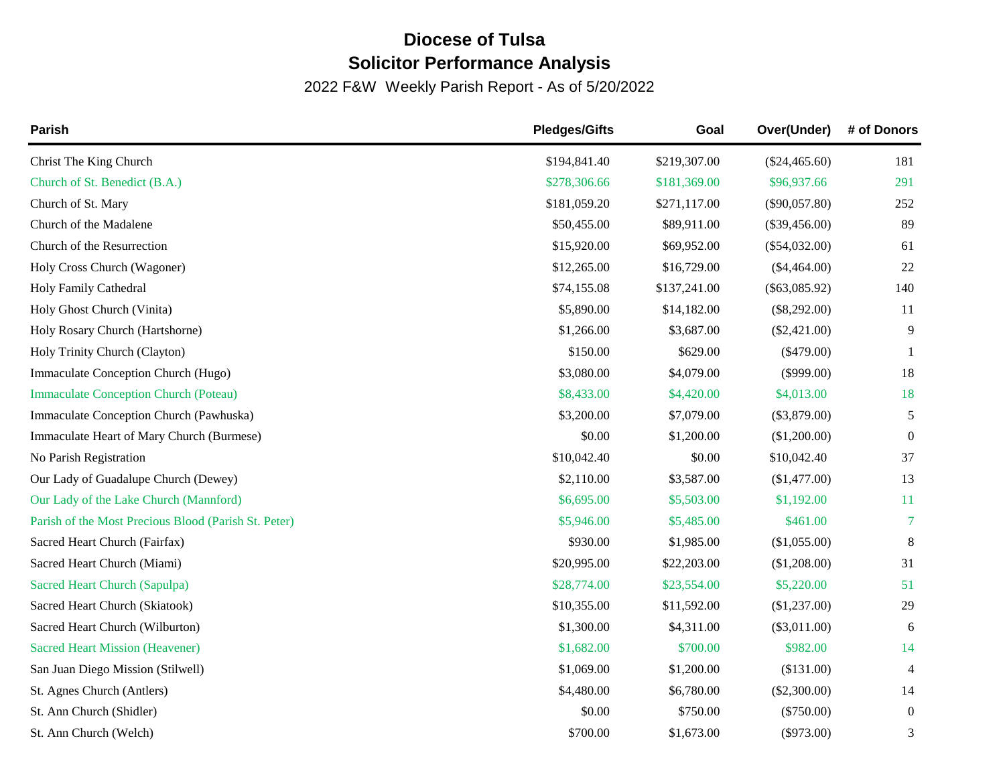## **Diocese of Tulsa Solicitor Performance Analysis**

2022 F&W Weekly Parish Report - As of 5/20/2022

| Parish                                               | <b>Pledges/Gifts</b> | Goal         | Over(Under)     | # of Donors    |
|------------------------------------------------------|----------------------|--------------|-----------------|----------------|
| Christ The King Church                               | \$194,841.40         | \$219,307.00 | $(\$24,465.60)$ | 181            |
| Church of St. Benedict (B.A.)                        | \$278,306.66         | \$181,369.00 | \$96,937.66     | 291            |
| Church of St. Mary                                   | \$181,059.20         | \$271,117.00 | $(\$90,057.80)$ | 252            |
| Church of the Madalene                               | \$50,455.00          | \$89,911.00  | $(\$39,456.00)$ | 89             |
| Church of the Resurrection                           | \$15,920.00          | \$69,952.00  | $(\$54,032.00)$ | 61             |
| Holy Cross Church (Wagoner)                          | \$12,265.00          | \$16,729.00  | $(\$4,464.00)$  | 22             |
| Holy Family Cathedral                                | \$74,155.08          | \$137,241.00 | $(\$63,085.92)$ | 140            |
| Holy Ghost Church (Vinita)                           | \$5,890.00           | \$14,182.00  | $(\$8,292.00)$  | 11             |
| Holy Rosary Church (Hartshorne)                      | \$1,266.00           | \$3,687.00   | $(\$2,421.00)$  | 9              |
| Holy Trinity Church (Clayton)                        | \$150.00             | \$629.00     | $(\$479.00)$    | -1             |
| Immaculate Conception Church (Hugo)                  | \$3,080.00           | \$4,079.00   | $(\$999.00)$    | 18             |
| <b>Immaculate Conception Church (Poteau)</b>         | \$8,433.00           | \$4,420.00   | \$4,013.00      | 18             |
| Immaculate Conception Church (Pawhuska)              | \$3,200.00           | \$7,079.00   | $(\$3,879.00)$  | 5              |
| Immaculate Heart of Mary Church (Burmese)            | \$0.00               | \$1,200.00   | (\$1,200.00)    | $\overline{0}$ |
| No Parish Registration                               | \$10,042.40          | \$0.00       | \$10,042.40     | 37             |
| Our Lady of Guadalupe Church (Dewey)                 | \$2,110.00           | \$3,587.00   | (\$1,477.00)    | 13             |
| Our Lady of the Lake Church (Mannford)               | \$6,695.00           | \$5,503.00   | \$1,192.00      | 11             |
| Parish of the Most Precious Blood (Parish St. Peter) | \$5,946.00           | \$5,485.00   | \$461.00        | 7              |
| Sacred Heart Church (Fairfax)                        | \$930.00             | \$1,985.00   | (\$1,055.00)    | 8              |
| Sacred Heart Church (Miami)                          | \$20,995.00          | \$22,203.00  | (\$1,208.00)    | 31             |
| Sacred Heart Church (Sapulpa)                        | \$28,774.00          | \$23,554.00  | \$5,220.00      | 51             |
| Sacred Heart Church (Skiatook)                       | \$10,355.00          | \$11,592.00  | (\$1,237.00)    | 29             |
| Sacred Heart Church (Wilburton)                      | \$1,300.00           | \$4,311.00   | $(\$3,011.00)$  | 6              |
| <b>Sacred Heart Mission (Heavener)</b>               | \$1,682.00           | \$700.00     | \$982.00        | 14             |
| San Juan Diego Mission (Stilwell)                    | \$1,069.00           | \$1,200.00   | (\$131.00)      | $\overline{4}$ |
| St. Agnes Church (Antlers)                           | \$4,480.00           | \$6,780.00   | $(\$2,300.00)$  | 14             |
| St. Ann Church (Shidler)                             | \$0.00               | \$750.00     | $(\$750.00)$    | $\overline{0}$ |
| St. Ann Church (Welch)                               | \$700.00             | \$1,673.00   | $(\$973.00)$    | 3              |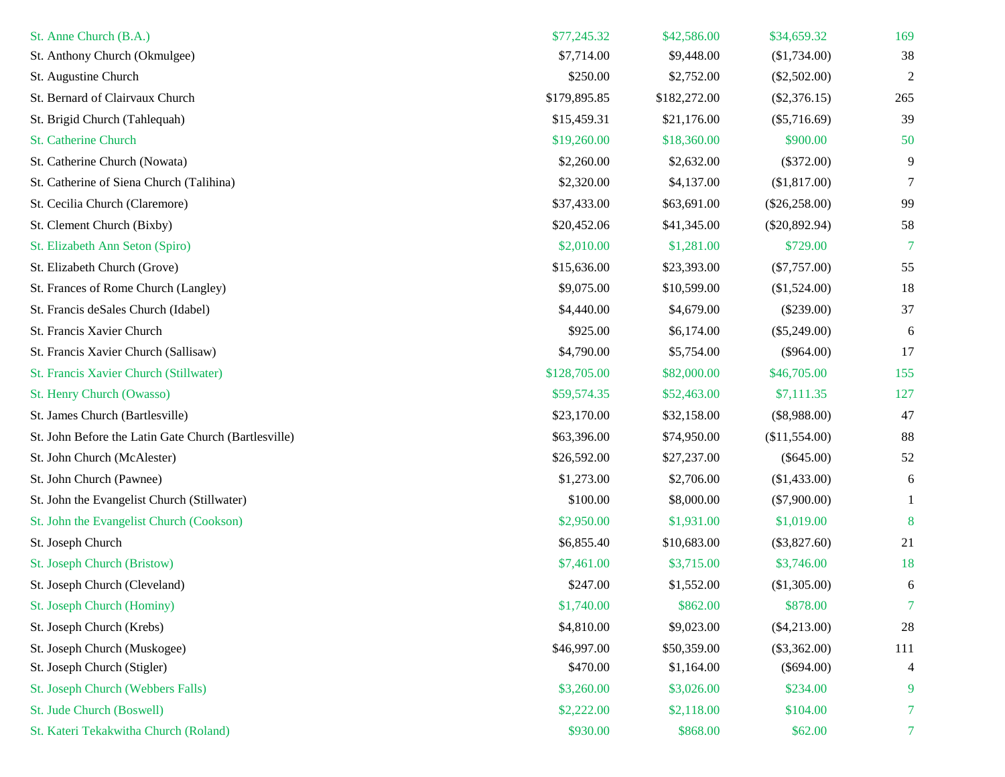| St. Anne Church (B.A.)                               | \$77,245.32  | \$42,586.00  | \$34,659.32     | 169            |
|------------------------------------------------------|--------------|--------------|-----------------|----------------|
| St. Anthony Church (Okmulgee)                        | \$7,714.00   | \$9,448.00   | (\$1,734.00)    | 38             |
| St. Augustine Church                                 | \$250.00     | \$2,752.00   | $(\$2,502.00)$  | 2              |
| St. Bernard of Clairvaux Church                      | \$179,895.85 | \$182,272.00 | $(\$2,376.15)$  | 265            |
| St. Brigid Church (Tahlequah)                        | \$15,459.31  | \$21,176.00  | $(\$5,716.69)$  | 39             |
| <b>St. Catherine Church</b>                          | \$19,260.00  | \$18,360.00  | \$900.00        | 50             |
| St. Catherine Church (Nowata)                        | \$2,260.00   | \$2,632.00   | $(\$372.00)$    | 9              |
| St. Catherine of Siena Church (Talihina)             | \$2,320.00   | \$4,137.00   | (\$1,817.00)    | 7              |
| St. Cecilia Church (Claremore)                       | \$37,433.00  | \$63,691.00  | $(\$26,258.00)$ | 99             |
| St. Clement Church (Bixby)                           | \$20,452.06  | \$41,345.00  | $(\$20,892.94)$ | 58             |
| St. Elizabeth Ann Seton (Spiro)                      | \$2,010.00   | \$1,281.00   | \$729.00        | 7              |
| St. Elizabeth Church (Grove)                         | \$15,636.00  | \$23,393.00  | $(\$7,757.00)$  | 55             |
| St. Frances of Rome Church (Langley)                 | \$9,075.00   | \$10,599.00  | (\$1,524.00)    | 18             |
| St. Francis deSales Church (Idabel)                  | \$4,440.00   | \$4,679.00   | $(\$239.00)$    | 37             |
| St. Francis Xavier Church                            | \$925.00     | \$6,174.00   | $(\$5,249.00)$  | 6              |
| St. Francis Xavier Church (Sallisaw)                 | \$4,790.00   | \$5,754.00   | $(\$964.00)$    | 17             |
| St. Francis Xavier Church (Stillwater)               | \$128,705.00 | \$82,000.00  | \$46,705.00     | 155            |
| St. Henry Church (Owasso)                            | \$59,574.35  | \$52,463.00  | \$7,111.35      | 127            |
| St. James Church (Bartlesville)                      | \$23,170.00  | \$32,158.00  | $(\$8,988.00)$  | 47             |
| St. John Before the Latin Gate Church (Bartlesville) | \$63,396.00  | \$74,950.00  | (\$11,554.00)   | 88             |
| St. John Church (McAlester)                          | \$26,592.00  | \$27,237.00  | $(\$645.00)$    | 52             |
| St. John Church (Pawnee)                             | \$1,273.00   | \$2,706.00   | (\$1,433.00)    | 6              |
| St. John the Evangelist Church (Stillwater)          | \$100.00     | \$8,000.00   | $(\$7,900.00)$  |                |
| St. John the Evangelist Church (Cookson)             | \$2,950.00   | \$1,931.00   | \$1,019.00      | 8              |
| St. Joseph Church                                    | \$6,855.40   | \$10,683.00  | $(\$3,827.60)$  | 21             |
| St. Joseph Church (Bristow)                          | \$7,461.00   | \$3,715.00   | \$3,746.00      | 18             |
| St. Joseph Church (Cleveland)                        | \$247.00     | \$1,552.00   | (\$1,305.00)    | 6              |
| St. Joseph Church (Hominy)                           | \$1,740.00   | \$862.00     | \$878.00        | 7              |
| St. Joseph Church (Krebs)                            | \$4,810.00   | \$9,023.00   | $(\$4,213.00)$  | 28             |
| St. Joseph Church (Muskogee)                         | \$46,997.00  | \$50,359.00  | $(\$3,362.00)$  | 111            |
| St. Joseph Church (Stigler)                          | \$470.00     | \$1,164.00   | $(\$694.00)$    | 4              |
| St. Joseph Church (Webbers Falls)                    | \$3,260.00   | \$3,026.00   | \$234.00        | 9              |
| St. Jude Church (Boswell)                            | \$2,222.00   | \$2,118.00   | \$104.00        | 7              |
| St. Kateri Tekakwitha Church (Roland)                | \$930.00     | \$868.00     | \$62.00         | 7 <sup>1</sup> |